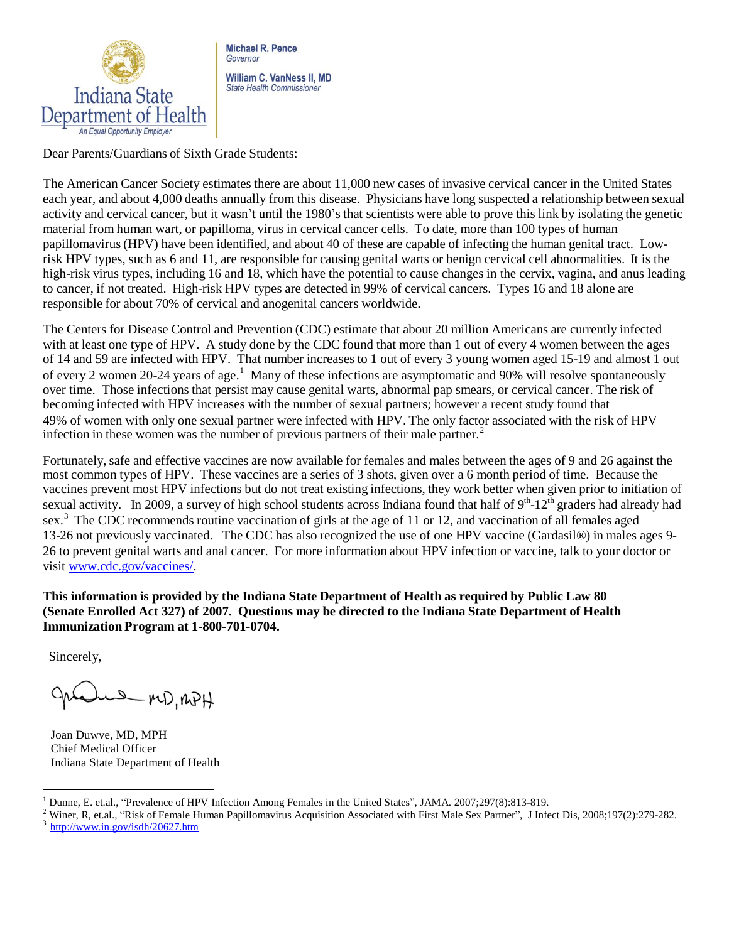

**Michael R. Pence** Governor William C. VanNess II, MD

**State Health Commissioner** 

Dear Parents/Guardians of Sixth Grade Students:

The American Cancer Society estimates there are about 11,000 new cases of invasive cervical cancer in the United States each year, and about 4,000 deaths annually from this disease. Physicians have long suspected a relationship between sexual activity and cervical cancer, but it wasn't until the 1980's that scientists were able to prove this link by isolating the genetic material from human wart, or papilloma, virus in cervical cancer cells. To date, more than 100 types of human papillomavirus(HPV) have been identified, and about 40 of these are capable of infecting the human genital tract. Lowrisk HPV types, such as 6 and 11, are responsible for causing genital warts or benign cervical cell abnormalities. It is the high-risk virus types, including 16 and 18, which have the potential to cause changes in the cervix, vagina, and anus leading to cancer, if not treated. High-risk HPV types are detected in 99% of cervical cancers. Types 16 and 18 alone are responsible for about 70% of cervical and anogenital cancers worldwide.

The Centers for Disease Control and Prevention (CDC) estimate that about 20 million Americans are currently infected with at least one type of HPV. A study done by the CDC found that more than 1 out of every 4 women between the ages of 14 and 59 are infected with HPV. That number increases to 1 out of every 3 young women aged 15-19 and almost 1 out of every 2 women 20-24 years of age.<sup>1</sup> Many of these infections are asymptomatic and 90% will resolve spontaneously over time. Those infections that persist may cause genital warts, abnormal pap smears, or cervical cancer. The risk of becoming infected with HPV increases with the number of sexual partners; however a recent study found that 49% of women with only one sexual partner were infected with HPV. The only factor associated with the risk of HPV infection in these women was the number of previous partners of their male partner.<sup>2</sup>

Fortunately, safe and effective vaccines are now available for females and males between the ages of 9 and 26 against the most common types of HPV. These vaccines are a series of 3 shots, given over a 6 month period of time. Because the vaccines prevent most HPV infections but do not treat existing infections, they work better when given prior to initiation of sexual activity. In 2009, a survey of high school students across Indiana found that half of 9<sup>th</sup>-12<sup>th</sup> graders had already had sex.<sup>3</sup> The CDC recommends routine vaccination of girls at the age of 11 or 12, and vaccination of all females aged 13-26 not previously vaccinated. The CDC has also recognized the use of one HPV vaccine (Gardasil®) in males ages 9- 26 to prevent genital warts and anal cancer. For more information about HPV infection or vaccine, talk to your doctor or visit [www.cdc.gov/vaccines/.](http://www.cdc.gov/vaccines/)

**This information is provided by the Indiana State Department of Health as required by Public Law 80 (Senate Enrolled Act 327) of 2007. Questions may be directed to the Indiana State Department of Health Immunization Program at 1-800-701-0704.**

Sincerely,

une MD, RPH

Joan Duwve, MD, MPH Chief Medical Officer Indiana State Department of Health

<sup>1</sup> Dunne, E. et.al., "Prevalence of HPV Infection Among Females in the United States", JAMA. 2007;297(8):813-819.

<sup>&</sup>lt;sup>2</sup> Winer, R, et.al., "Risk of Female Human Papillomavirus Acquisition Associated with First Male Sex Partner", J Infect Dis, 2008;197(2):279-282.  $3$  <http://www.in.gov/isdh/20627.htm>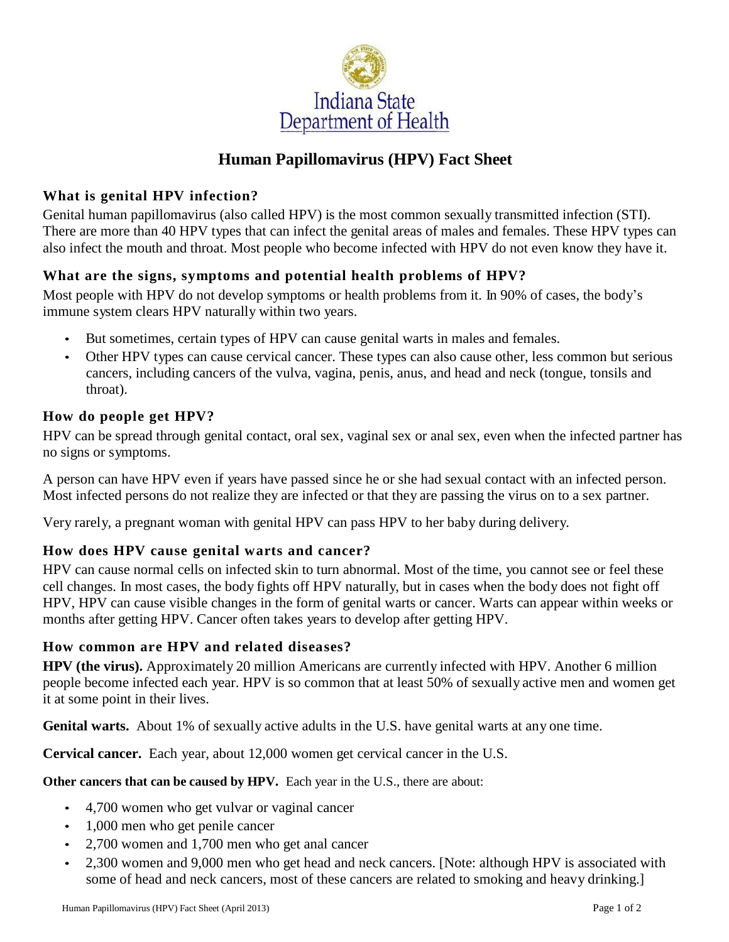

# **Human Papillomavirus (HPV) Fact Sheet**

### **What is genital HPV infection?**

Genital human papillomavirus (also called HPV) is the most common sexually transmitted infection (STI). There are more than 40 HPV types that can infect the genital areas of males and females. These HPV types can also infect the mouth and throat. Most people who become infected with HPV do not even know they have it.

## **What are the signs, symptoms and potential health problems of HPV?**

Most people with HPV do not develop symptoms or health problems from it. In 90% of cases, the body's immune system clears HPV naturally within two years.

- But sometimes, certain types of HPV can cause genital warts in males and females.
- Other HPV types can cause cervical cancer. These types can also cause other, less common but serious cancers, including cancers of the vulva, vagina, penis, anus, and head and neck (tongue, tonsils and throat).

#### **How do people get HPV?**

HPV can be spread through genital contact, oral sex, vaginal sex or anal sex, even when the infected partner has no signs or symptoms.

A person can have HPV even if years have passed since he or she had sexual contact with an infected person. Most infected persons do not realize they are infected or that they are passing the virus on to a sex partner.

Very rarely, a pregnant woman with genital HPV can pass HPV to her baby during delivery.

### **How does HPV cause genital warts and cancer?**

HPV can cause normal cells on infected skin to turn abnormal. Most of the time, you cannot see or feel these cell changes. In most cases, the body fights off HPV naturally, but in cases when the body does not fight off HPV, HPV can cause visible changes in the form of genital warts or cancer. Warts can appear within weeks or months after getting HPV. Cancer often takes years to develop after getting HPV.

### **How common are HPV and related diseases?**

**HPV (the virus).** Approximately 20 million Americans are currently infected with HPV. Another 6 million people become infected each year. HPV is so common that at least 50% of sexually active men and women get it at some point in their lives.

**Genital warts.** About 1% of sexually active adults in the U.S. have genital warts at any one time.

**Cervical cancer.** Each year, about 12,000 women get cervical cancer in the U.S.

**Other cancers that can be caused by HPV.** Each year in the U.S., there are about:

- 4,700 women who get vulvar or vaginal cancer
- 1,000 men who get penile cancer
- 2,700 women and 1,700 men who get anal cancer
- 2,300 women and 9,000 men who get head and neck cancers. [Note: although HPV is associated with some of head and neck cancers, most of these cancers are related to smoking and heavy drinking.]